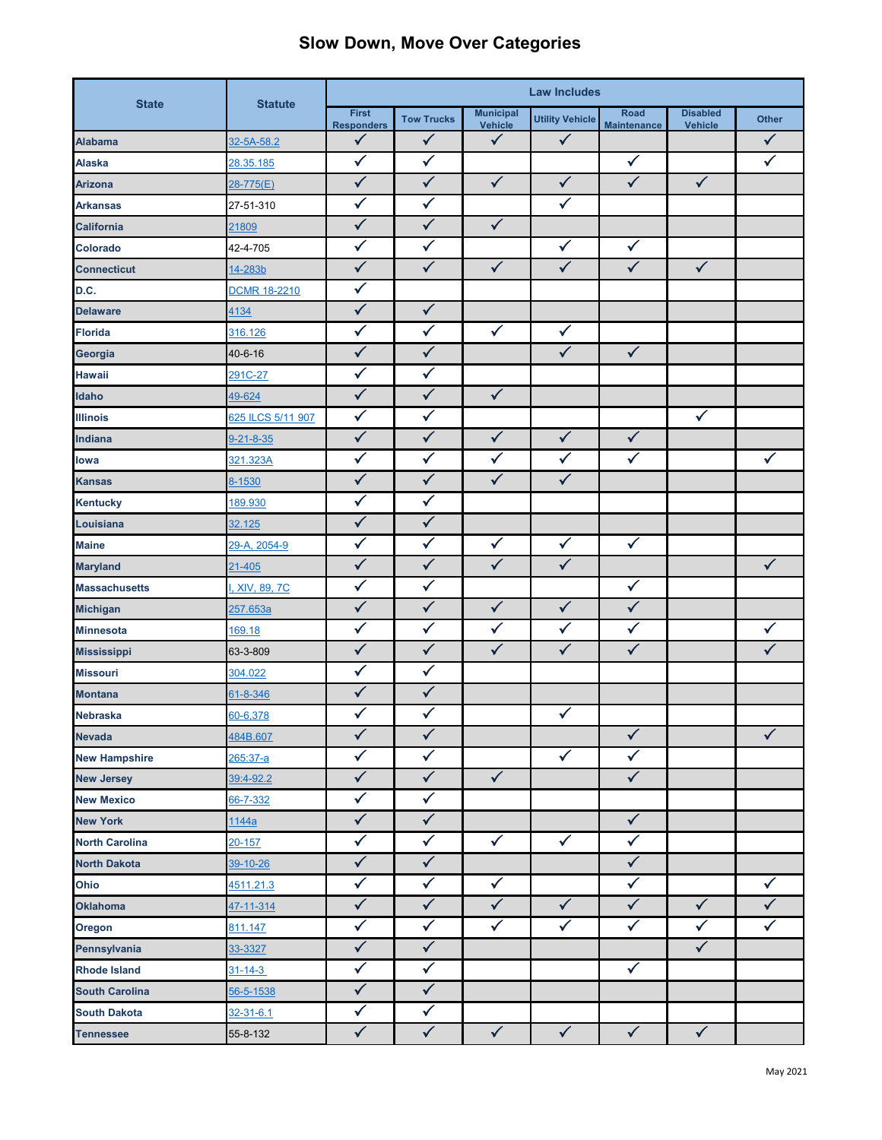## **Slow Down, Move Over Categories**

| <b>State</b>          | <b>Statute</b>      | <b>Law Includes</b>               |                   |                                    |                        |                            |                                   |              |
|-----------------------|---------------------|-----------------------------------|-------------------|------------------------------------|------------------------|----------------------------|-----------------------------------|--------------|
|                       |                     | <b>First</b><br><b>Responders</b> | <b>Tow Trucks</b> | <b>Municipal</b><br><b>Vehicle</b> | <b>Utility Vehicle</b> | Road<br><b>Maintenance</b> | <b>Disabled</b><br><b>Vehicle</b> | <b>Other</b> |
| <b>Alabama</b>        | 32-5A-58.2          | $\checkmark$                      | $\checkmark$      | $\checkmark$                       | $\checkmark$           |                            |                                   | $\checkmark$ |
| <b>Alaska</b>         | 28.35.185           | $\checkmark$                      | $\checkmark$      |                                    |                        | $\checkmark$               |                                   | $\checkmark$ |
| <b>Arizona</b>        | 28-775(E)           | $\checkmark$                      | $\checkmark$      | $\checkmark$                       | $\checkmark$           | $\checkmark$               | $\checkmark$                      |              |
| <b>Arkansas</b>       | 27-51-310           | $\checkmark$                      | $\checkmark$      |                                    | $\checkmark$           |                            |                                   |              |
| <b>California</b>     | 21809               | $\checkmark$                      | $\checkmark$      | $\checkmark$                       |                        |                            |                                   |              |
| Colorado              | 42-4-705            | $\checkmark$                      | $\checkmark$      |                                    | $\checkmark$           | $\checkmark$               |                                   |              |
| <b>Connecticut</b>    | 14-283b             | $\checkmark$                      | $\checkmark$      | $\checkmark$                       | $\checkmark$           | $\checkmark$               | $\checkmark$                      |              |
| D.C.                  | <b>DCMR 18-2210</b> | $\checkmark$                      |                   |                                    |                        |                            |                                   |              |
| <b>Delaware</b>       | 4134                | $\checkmark$                      | $\sqrt{}$         |                                    |                        |                            |                                   |              |
| <b>Florida</b>        | 316.126             | $\checkmark$                      | $\checkmark$      | $\checkmark$                       | $\checkmark$           |                            |                                   |              |
| Georgia               | $40 - 6 - 16$       | $\checkmark$                      | $\checkmark$      |                                    | $\checkmark$           | $\checkmark$               |                                   |              |
| <b>Hawaii</b>         | 291C-27             | $\checkmark$                      | $\checkmark$      |                                    |                        |                            |                                   |              |
| Idaho                 | 49-624              | $\checkmark$                      | $\checkmark$      | $\sqrt{}$                          |                        |                            |                                   |              |
| <b>Illinois</b>       | 625 ILCS 5/11 907   | $\checkmark$                      | $\checkmark$      |                                    |                        |                            | $\checkmark$                      |              |
| <b>Indiana</b>        | $9 - 21 - 8 - 35$   | $\checkmark$                      | $\checkmark$      | $\checkmark$                       | $\checkmark$           | $\checkmark$               |                                   |              |
| lowa                  | 321.323A            | $\checkmark$                      | $\checkmark$      | $\checkmark$                       | $\checkmark$           | $\checkmark$               |                                   | $\checkmark$ |
| <b>Kansas</b>         | 8-1530              | $\checkmark$                      | $\checkmark$      | $\checkmark$                       | $\checkmark$           |                            |                                   |              |
| <b>Kentucky</b>       | 189.930             | $\checkmark$                      | $\checkmark$      |                                    |                        |                            |                                   |              |
| Louisiana             | 32.125              | $\checkmark$                      | $\checkmark$      |                                    |                        |                            |                                   |              |
| <b>Maine</b>          | 29-A, 2054-9        | $\checkmark$                      | $\checkmark$      | $\blacktriangledown$               | $\checkmark$           | $\checkmark$               |                                   |              |
| <b>Maryland</b>       | $21 - 405$          | $\checkmark$                      | $\checkmark$      | $\checkmark$                       | $\checkmark$           |                            |                                   | $\checkmark$ |
| <b>Massachusetts</b>  | , XIV, 89, 7C       | $\checkmark$                      | $\checkmark$      |                                    |                        | $\checkmark$               |                                   |              |
| <b>Michigan</b>       | 257.653a            | $\checkmark$                      | $\checkmark$      | $\checkmark$                       | $\checkmark$           | $\checkmark$               |                                   |              |
| <b>Minnesota</b>      | 169.18              | $\checkmark$                      | $\checkmark$      | $\checkmark$                       | $\checkmark$           | $\checkmark$               |                                   | $\checkmark$ |
| <b>Mississippi</b>    | 63-3-809            | $\checkmark$                      | $\checkmark$      | $\checkmark$                       | $\checkmark$           | $\checkmark$               |                                   | ✓            |
| <b>Missouri</b>       | 304.022             | $\checkmark$                      | $\checkmark$      |                                    |                        |                            |                                   |              |
| <b>Montana</b>        | 61-8-346            | $\checkmark$                      | $\checkmark$      |                                    |                        |                            |                                   |              |
| <b>Nebraska</b>       | 60-6,378            | $\checkmark$                      | $\checkmark$      |                                    | $\checkmark$           |                            |                                   |              |
| <b>Nevada</b>         | 484B.607            | $\checkmark$                      | $\checkmark$      |                                    |                        | $\checkmark$               |                                   | $\checkmark$ |
| <b>New Hampshire</b>  | 265:37-a            | $\checkmark$                      | $\checkmark$      |                                    | $\checkmark$           | $\checkmark$               |                                   |              |
| <b>New Jersey</b>     | 39:4-92.2           | $\checkmark$                      | $\checkmark$      | $\checkmark$                       |                        | $\checkmark$               |                                   |              |
| <b>New Mexico</b>     | 66-7-332            | $\checkmark$                      | $\checkmark$      |                                    |                        |                            |                                   |              |
| <b>New York</b>       | 1144a               | $\checkmark$                      | $\checkmark$      |                                    |                        | $\checkmark$               |                                   |              |
| <b>North Carolina</b> | $20 - 157$          | $\checkmark$                      | $\checkmark$      | $\checkmark$                       | $\checkmark$           | $\checkmark$               |                                   |              |
| <b>North Dakota</b>   | 39-10-26            | $\checkmark$                      | $\checkmark$      |                                    |                        | $\checkmark$               |                                   |              |
| Ohio                  | 4511.21.3           | $\checkmark$                      | $\checkmark$      | $\checkmark$                       |                        | $\checkmark$               |                                   | $\checkmark$ |
| <b>Oklahoma</b>       | 47-11-314           | $\checkmark$                      | $\checkmark$      | $\checkmark$                       | $\checkmark$           | $\checkmark$               | $\checkmark$                      | $\checkmark$ |
| Oregon                | 811.147             | $\checkmark$                      | $\checkmark$      | $\checkmark$                       | $\checkmark$           | $\checkmark$               | $\checkmark$                      | $\checkmark$ |
| Pennsylvania          | 33-3327             | $\checkmark$                      | $\checkmark$      |                                    |                        |                            | $\checkmark$                      |              |
| <b>Rhode Island</b>   | $31 - 14 - 3$       | $\checkmark$                      | $\checkmark$      |                                    |                        | $\checkmark$               |                                   |              |
| <b>South Carolina</b> | 56-5-1538           | $\checkmark$                      | $\checkmark$      |                                    |                        |                            |                                   |              |
| <b>South Dakota</b>   | $32 - 31 - 6.1$     | $\checkmark$                      | $\checkmark$      |                                    |                        |                            |                                   |              |
| <b>Tennessee</b>      | 55-8-132            | $\checkmark$                      | $\checkmark$      | $\checkmark$                       | $\checkmark$           | $\checkmark$               | $\checkmark$                      |              |